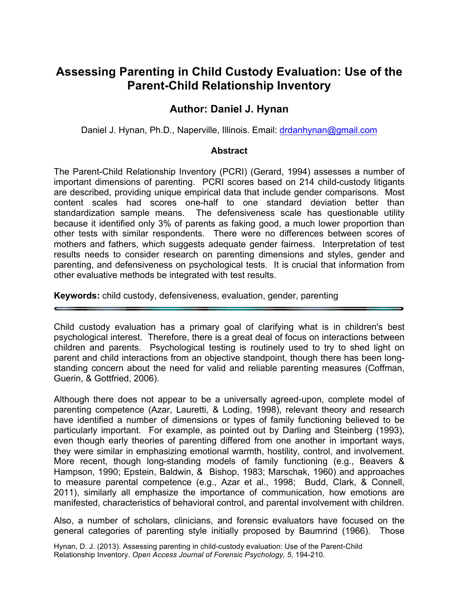# **Assessing Parenting in Child Custody Evaluation: Use of the Parent-Child Relationship Inventory**

# **Author: Daniel J. Hynan**

Daniel J. Hynan, Ph.D., Naperville, Illinois. Email: drdanhynan@gmail.com

#### **Abstract**

The Parent-Child Relationship Inventory (PCRI) (Gerard, 1994) assesses a number of important dimensions of parenting. PCRI scores based on 214 child-custody litigants are described, providing unique empirical data that include gender comparisons. Most content scales had scores one-half to one standard deviation better than standardization sample means. The defensiveness scale has questionable utility because it identified only 3% of parents as faking good, a much lower proportion than other tests with similar respondents. There were no differences between scores of mothers and fathers, which suggests adequate gender fairness. Interpretation of test results needs to consider research on parenting dimensions and styles, gender and parenting, and defensiveness on psychological tests. It is crucial that information from other evaluative methods be integrated with test results.

**Keywords:** child custody, defensiveness, evaluation, gender, parenting

Child custody evaluation has a primary goal of clarifying what is in children's best psychological interest. Therefore, there is a great deal of focus on interactions between children and parents. Psychological testing is routinely used to try to shed light on parent and child interactions from an objective standpoint, though there has been longstanding concern about the need for valid and reliable parenting measures (Coffman, Guerin, & Gottfried, 2006).

Although there does not appear to be a universally agreed-upon, complete model of parenting competence (Azar, Lauretti, & Loding, 1998), relevant theory and research have identified a number of dimensions or types of family functioning believed to be particularly important. For example, as pointed out by Darling and Steinberg (1993), even though early theories of parenting differed from one another in important ways, they were similar in emphasizing emotional warmth, hostility, control, and involvement. More recent, though long-standing models of family functioning (e.g., Beavers & Hampson, 1990; Epstein, Baldwin, & Bishop, 1983; Marschak, 1960) and approaches to measure parental competence (e.g., Azar et al., 1998; Budd, Clark, & Connell, 2011), similarly all emphasize the importance of communication, how emotions are manifested, characteristics of behavioral control, and parental involvement with children.

Also, a number of scholars, clinicians, and forensic evaluators have focused on the general categories of parenting style initially proposed by Baumrind (1966). Those

Hynan, D. J. (2013). Assessing parenting in child-custody evaluation: Use of the Parent-Child Relationship Inventory. *Open Access Journal of Forensic Psychology, 5,* 194-210.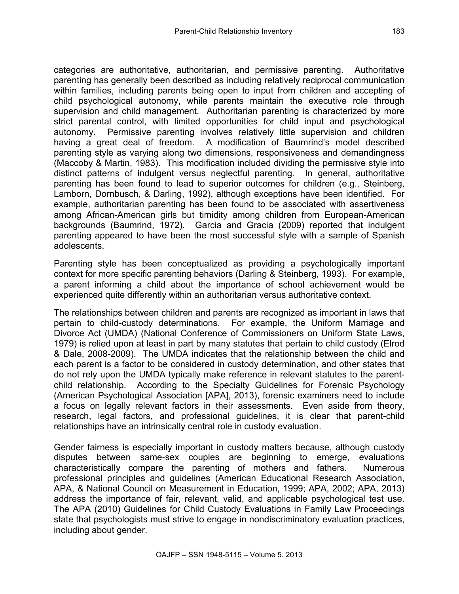categories are authoritative, authoritarian, and permissive parenting. Authoritative parenting has generally been described as including relatively reciprocal communication within families, including parents being open to input from children and accepting of child psychological autonomy, while parents maintain the executive role through supervision and child management. Authoritarian parenting is characterized by more strict parental control, with limited opportunities for child input and psychological autonomy. Permissive parenting involves relatively little supervision and children having a great deal of freedom. A modification of Baumrind's model described parenting style as varying along two dimensions, responsiveness and demandingness (Maccoby & Martin, 1983). This modification included dividing the permissive style into distinct patterns of indulgent versus neglectful parenting. In general, authoritative parenting has been found to lead to superior outcomes for children (e.g., Steinberg, Lamborn, Dornbusch, & Darling, 1992), although exceptions have been identified. For example, authoritarian parenting has been found to be associated with assertiveness among African-American girls but timidity among children from European-American backgrounds (Baumrind, 1972). Garcia and Gracia (2009) reported that indulgent parenting appeared to have been the most successful style with a sample of Spanish adolescents.

Parenting style has been conceptualized as providing a psychologically important context for more specific parenting behaviors (Darling & Steinberg, 1993). For example, a parent informing a child about the importance of school achievement would be experienced quite differently within an authoritarian versus authoritative context.

The relationships between children and parents are recognized as important in laws that pertain to child-custody determinations. For example, the Uniform Marriage and Divorce Act (UMDA) (National Conference of Commissioners on Uniform State Laws, 1979) is relied upon at least in part by many statutes that pertain to child custody (Elrod & Dale, 2008-2009). The UMDA indicates that the relationship between the child and each parent is a factor to be considered in custody determination, and other states that do not rely upon the UMDA typically make reference in relevant statutes to the parentchild relationship. According to the Specialty Guidelines for Forensic Psychology (American Psychological Association [APA], 2013), forensic examiners need to include a focus on legally relevant factors in their assessments. Even aside from theory, research, legal factors, and professional guidelines, it is clear that parent-child relationships have an intrinsically central role in custody evaluation.

Gender fairness is especially important in custody matters because, although custody disputes between same-sex couples are beginning to emerge, evaluations characteristically compare the parenting of mothers and fathers. Numerous professional principles and guidelines (American Educational Research Association, APA, & National Council on Measurement in Education, 1999; APA, 2002; APA, 2013) address the importance of fair, relevant, valid, and applicable psychological test use. The APA (2010) Guidelines for Child Custody Evaluations in Family Law Proceedings state that psychologists must strive to engage in nondiscriminatory evaluation practices, including about gender.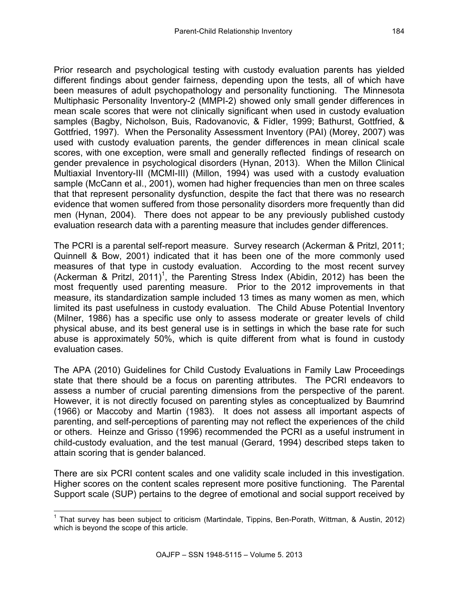Prior research and psychological testing with custody evaluation parents has yielded different findings about gender fairness, depending upon the tests, all of which have been measures of adult psychopathology and personality functioning. The Minnesota Multiphasic Personality Inventory-2 (MMPI-2) showed only small gender differences in mean scale scores that were not clinically significant when used in custody evaluation samples (Bagby, Nicholson, Buis, Radovanovic, & Fidler, 1999; Bathurst, Gottfried, & Gottfried, 1997). When the Personality Assessment Inventory (PAI) (Morey, 2007) was used with custody evaluation parents, the gender differences in mean clinical scale scores, with one exception, were small and generally reflected findings of research on gender prevalence in psychological disorders (Hynan, 2013). When the Millon Clinical Multiaxial Inventory-III (MCMI-III) (Millon, 1994) was used with a custody evaluation sample (McCann et al., 2001), women had higher frequencies than men on three scales that that represent personality dysfunction, despite the fact that there was no research evidence that women suffered from those personality disorders more frequently than did men (Hynan, 2004). There does not appear to be any previously published custody evaluation research data with a parenting measure that includes gender differences.

The PCRI is a parental self-report measure. Survey research (Ackerman & Pritzl, 2011; Quinnell & Bow, 2001) indicated that it has been one of the more commonly used measures of that type in custody evaluation. According to the most recent survey (Ackerman & Pritzl, 2011)<sup>1</sup>, the Parenting Stress Index (Abidin, 2012) has been the most frequently used parenting measure. Prior to the 2012 improvements in that measure, its standardization sample included 13 times as many women as men, which limited its past usefulness in custody evaluation. The Child Abuse Potential Inventory (Milner, 1986) has a specific use only to assess moderate or greater levels of child physical abuse, and its best general use is in settings in which the base rate for such abuse is approximately 50%, which is quite different from what is found in custody evaluation cases.

The APA (2010) Guidelines for Child Custody Evaluations in Family Law Proceedings state that there should be a focus on parenting attributes. The PCRI endeavors to assess a number of crucial parenting dimensions from the perspective of the parent. However, it is not directly focused on parenting styles as conceptualized by Baumrind (1966) or Maccoby and Martin (1983). It does not assess all important aspects of parenting, and self-perceptions of parenting may not reflect the experiences of the child or others. Heinze and Grisso (1996) recommended the PCRI as a useful instrument in child-custody evaluation, and the test manual (Gerard, 1994) described steps taken to attain scoring that is gender balanced.

There are six PCRI content scales and one validity scale included in this investigation. Higher scores on the content scales represent more positive functioning. The Parental Support scale (SUP) pertains to the degree of emotional and social support received by

<sup>&</sup>lt;sup>1</sup> That survey has been subject to criticism (Martindale, Tippins, Ben-Porath, Wittman, & Austin, 2012) which is beyond the scope of this article.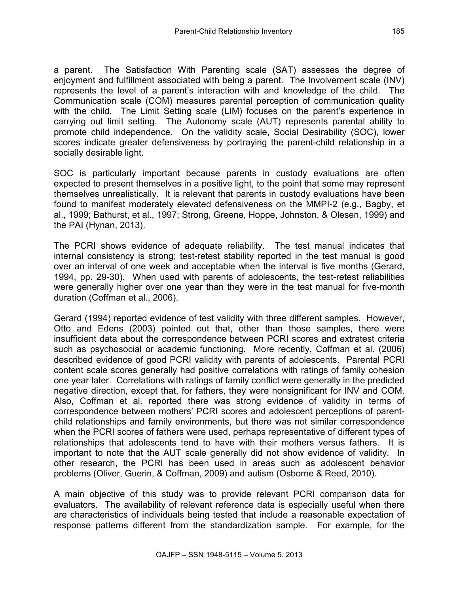a parent. The Satisfaction With Parenting scale (SAT) assesses the degree of enjoyment and fulfillment associated with being a parent. The Involvement scale (INV) represents the level of a parent's interaction with and knowledge of the child. The Communication scale (COM) measures parental perception of communication quality with the child. The Limit Setting scale (LIM) focuses on the parent's experience in carrying out limit setting. The Autonomy scale (AUT) represents parental ability to promote child independence. On the validity scale, Social Desirability (SOC), lower scores indicate greater defensiveness by portraying the parent-child relationship in a socially desirable light.

SOC is particularly important because parents in custody evaluations are often expected to present themselves in a positive light, to the point that some may represent themselves unrealistically. It is relevant that parents in custody evaluations have been found to manifest moderately elevated defensiveness on the MMPI-2 (e.g., Bagby, et al., 1999; Bathurst, et al., 1997; Strong, Greene, Hoppe, Johnston, & Olesen, 1999) and the PAI (Hynan, 2013).

The PCRI shows evidence of adequate reliability. The test manual indicates that internal consistency is strong; test-retest stability reported in the test manual is good over an interval of one week and acceptable when the interval is five months (Gerard, 1994, pp. 29-30). When used with parents of adolescents, the test-retest reliabilities were generally higher over one year than they were in the test manual for five-month duration (Coffman et al., 2006).

Gerard (1994) reported evidence of test validity with three different samples. However, Otto and Edens (2003) pointed out that, other than those samples, there were insufficient data about the correspondence between PCRI scores and extratest criteria such as psychosocial or academic functioning. More recently, Coffman et al. (2006) described evidence of good PCRI validity with parents of adolescents. Parental PCRI content scale scores generally had positive correlations with ratings of family cohesion one year later. Correlations with ratings of family conflict were generally in the predicted negative direction, except that, for fathers, they were nonsignificant for INV and COM. Also, Coffman et al. reported there was strong evidence of validity in terms of correspondence between mothers' PCRI scores and adolescent perceptions of parentchild relationships and family environments, but there was not similar correspondence when the PCRI scores of fathers were used, perhaps representative of different types of relationships that adolescents tend to have with their mothers versus fathers. It is important to note that the AUT scale generally did not show evidence of validity. In other research, the PCRI has been used in areas such as adolescent behavior problems (Oliver, Guerin, & Coffman, 2009) and autism (Osborne & Reed, 2010).

A main objective of this study was to provide relevant PCRI comparison data for evaluators. The availability of relevant reference data is especially useful when there are characteristics of individuals being tested that include a reasonable expectation of response patterns different from the standardization sample. For example, for the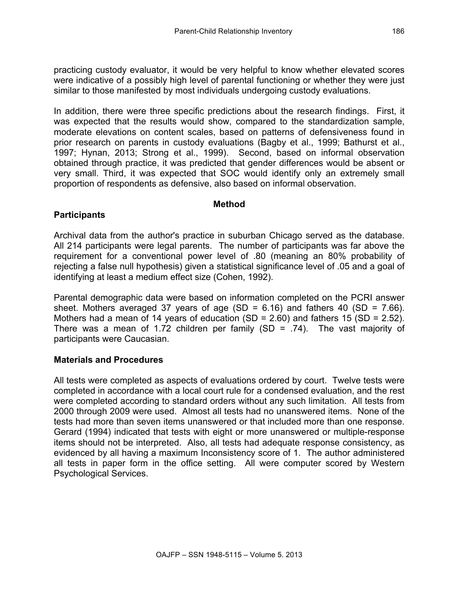practicing custody evaluator, it would be very helpful to know whether elevated scores were indicative of a possibly high level of parental functioning or whether they were just similar to those manifested by most individuals undergoing custody evaluations.

In addition, there were three specific predictions about the research findings. First, it was expected that the results would show, compared to the standardization sample, moderate elevations on content scales, based on patterns of defensiveness found in prior research on parents in custody evaluations (Bagby et al., 1999; Bathurst et al., 1997; Hynan, 2013; Strong et al., 1999). Second, based on informal observation obtained through practice, it was predicted that gender differences would be absent or very small. Third, it was expected that SOC would identify only an extremely small proportion of respondents as defensive, also based on informal observation.

#### **Method**

# **Participants**

Archival data from the author's practice in suburban Chicago served as the database. All 214 participants were legal parents. The number of participants was far above the requirement for a conventional power level of .80 (meaning an 80% probability of rejecting a false null hypothesis) given a statistical significance level of .05 and a goal of identifying at least a medium effect size (Cohen, 1992).

Parental demographic data were based on information completed on the PCRI answer sheet. Mothers averaged 37 years of age (SD =  $6.16$ ) and fathers 40 (SD =  $7.66$ ). Mothers had a mean of 14 years of education (SD = 2.60) and fathers 15 (SD = 2.52). There was a mean of 1.72 children per family  $(SD = .74)$ . The vast majority of participants were Caucasian.

## **Materials and Procedures**

All tests were completed as aspects of evaluations ordered by court. Twelve tests were completed in accordance with a local court rule for a condensed evaluation, and the rest were completed according to standard orders without any such limitation. All tests from 2000 through 2009 were used. Almost all tests had no unanswered items. None of the tests had more than seven items unanswered or that included more than one response. Gerard (1994) indicated that tests with eight or more unanswered or multiple-response items should not be interpreted. Also, all tests had adequate response consistency, as evidenced by all having a maximum Inconsistency score of 1. The author administered all tests in paper form in the office setting. All were computer scored by Western Psychological Services.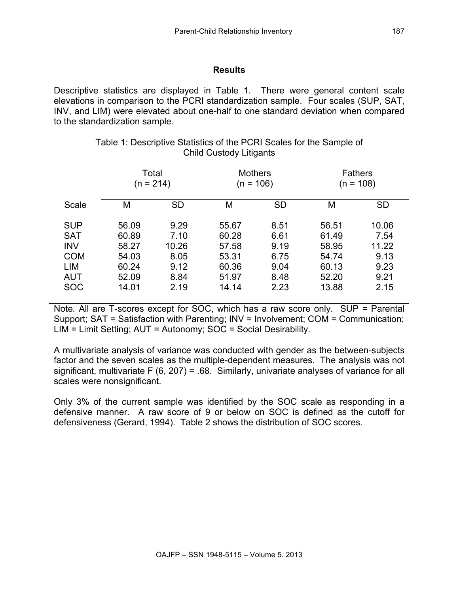### **Results**

Descriptive statistics are displayed in Table 1. There were general content scale elevations in comparison to the PCRI standardization sample. Four scales (SUP, SAT, INV, and LIM) were elevated about one-half to one standard deviation when compared to the standardization sample.

|            | Total<br>$(n = 214)$ |           | <b>Mothers</b><br>(n = 106) |           | <b>Fathers</b><br>$(n = 108)$ |           |
|------------|----------------------|-----------|-----------------------------|-----------|-------------------------------|-----------|
| Scale      | М                    | <b>SD</b> | M                           | <b>SD</b> | M                             | <b>SD</b> |
| <b>SUP</b> | 56.09                | 9.29      | 55.67                       | 8.51      | 56.51                         | 10.06     |
| <b>SAT</b> | 60.89                | 7.10      | 60.28                       | 6.61      | 61.49                         | 7.54      |
| <b>INV</b> | 58.27                | 10.26     | 57.58                       | 9.19      | 58.95                         | 11.22     |
| <b>COM</b> | 54.03                | 8.05      | 53.31                       | 6.75      | 54.74                         | 9.13      |
| LIM        | 60.24                | 9.12      | 60.36                       | 9.04      | 60.13                         | 9.23      |
| AUT        | 52.09                | 8.84      | 51.97                       | 8.48      | 52.20                         | 9.21      |
| <b>SOC</b> | 14.01                | 2.19      | 14.14                       | 2.23      | 13.88                         | 2.15      |

## Table 1: Descriptive Statistics of the PCRI Scales for the Sample of Child Custody Litigants

Note*.* All are T-scores except for SOC, which has a raw score only. SUP = Parental Support; SAT = Satisfaction with Parenting; INV = Involvement; COM = Communication; LIM = Limit Setting; AUT = Autonomy; SOC = Social Desirability.

A multivariate analysis of variance was conducted with gender as the between-subjects factor and the seven scales as the multiple-dependent measures. The analysis was not significant, multivariate F (6, 207) = .68. Similarly, univariate analyses of variance for all scales were nonsignificant.

Only 3% of the current sample was identified by the SOC scale as responding in a defensive manner. A raw score of 9 or below on SOC is defined as the cutoff for defensiveness (Gerard, 1994). Table 2 shows the distribution of SOC scores.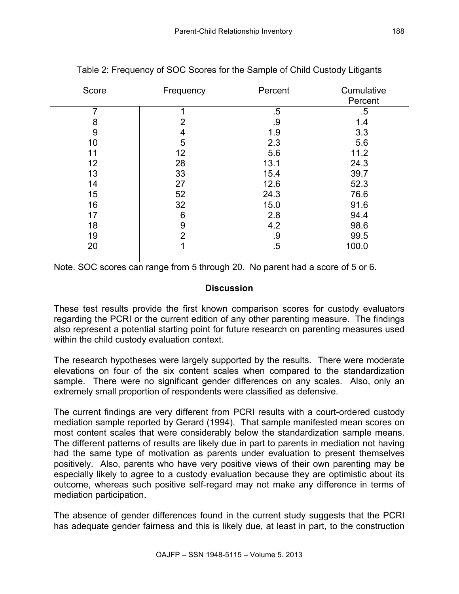| Score | Frequency | Percent | Cumulative |
|-------|-----------|---------|------------|
|       |           |         | Percent    |
|       |           | $.5\,$  | $.5\,$     |
| 8     | 2         | .9      | 1.4        |
| 9     | 4         | 1.9     | 3.3        |
| 10    | 5         | 2.3     | 5.6        |
| 11    | 12        | 5.6     | 11.2       |
| 12    | 28        | 13.1    | 24.3       |
| 13    | 33        | 15.4    | 39.7       |
| 14    | 27        | 12.6    | 52.3       |
| 15    | 52        | 24.3    | 76.6       |
| 16    | 32        | 15.0    | 91.6       |
| 17    | 6         | 2.8     | 94.4       |
| 18    | 9         | 4.2     | 98.6       |
| 19    | 2         | .9      | 99.5       |
| 20    |           | $.5\,$  | 100.0      |
|       |           |         |            |

Table 2: Frequency of SOC Scores for the Sample of Child Custody Litigants

Note. SOC scores can range from 5 through 20. No parent had a score of 5 or 6.

#### **Discussion**

These test results provide the first known comparison scores for custody evaluators regarding the PCRI or the current edition of any other parenting measure. The findings also represent a potential starting point for future research on parenting measures used within the child custody evaluation context.

The research hypotheses were largely supported by the results. There were moderate elevations on four of the six content scales when compared to the standardization sample. There were no significant gender differences on any scales. Also, only an extremely small proportion of respondents were classified as defensive.

The current findings are very different from PCRI results with a court-ordered custody mediation sample reported by Gerard (1994). That sample manifested mean scores on most content scales that were considerably below the standardization sample means. The different patterns of results are likely due in part to parents in mediation not having had the same type of motivation as parents under evaluation to present themselves positively. Also, parents who have very positive views of their own parenting may be especially likely to agree to a custody evaluation because they are optimistic about its outcome, whereas such positive self-regard may not make any difference in terms of mediation participation.

The absence of gender differences found in the current study suggests that the PCRI has adequate gender fairness and this is likely due, at least in part, to the construction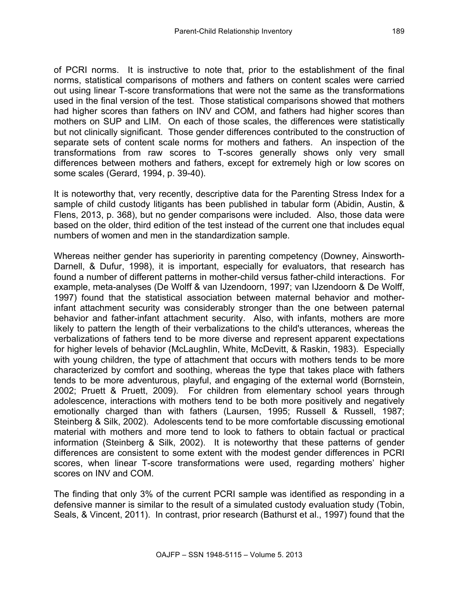of PCRI norms. It is instructive to note that, prior to the establishment of the final norms, statistical comparisons of mothers and fathers on content scales were carried out using linear T-score transformations that were not the same as the transformations used in the final version of the test. Those statistical comparisons showed that mothers had higher scores than fathers on INV and COM, and fathers had higher scores than mothers on SUP and LIM. On each of those scales, the differences were statistically but not clinically significant. Those gender differences contributed to the construction of separate sets of content scale norms for mothers and fathers. An inspection of the transformations from raw scores to T-scores generally shows only very small differences between mothers and fathers, except for extremely high or low scores on some scales (Gerard, 1994, p. 39-40).

It is noteworthy that, very recently, descriptive data for the Parenting Stress Index for a sample of child custody litigants has been published in tabular form (Abidin, Austin, & Flens, 2013, p. 368), but no gender comparisons were included. Also, those data were based on the older, third edition of the test instead of the current one that includes equal numbers of women and men in the standardization sample.

Whereas neither gender has superiority in parenting competency (Downey, Ainsworth-Darnell, & Dufur, 1998), it is important, especially for evaluators, that research has found a number of different patterns in mother-child versus father-child interactions. For example, meta-analyses (De Wolff & van IJzendoorn, 1997; van IJzendoorn & De Wolff, 1997) found that the statistical association between maternal behavior and motherinfant attachment security was considerably stronger than the one between paternal behavior and father-infant attachment security. Also, with infants, mothers are more likely to pattern the length of their verbalizations to the child's utterances, whereas the verbalizations of fathers tend to be more diverse and represent apparent expectations for higher levels of behavior (McLaughlin, White, McDevitt, & Raskin, 1983). Especially with young children, the type of attachment that occurs with mothers tends to be more characterized by comfort and soothing, whereas the type that takes place with fathers tends to be more adventurous, playful, and engaging of the external world (Bornstein, 2002; Pruett & Pruett, 2009). For children from elementary school years through adolescence, interactions with mothers tend to be both more positively and negatively emotionally charged than with fathers (Laursen, 1995; Russell & Russell, 1987; Steinberg & Silk, 2002). Adolescents tend to be more comfortable discussing emotional material with mothers and more tend to look to fathers to obtain factual or practical information (Steinberg & Silk, 2002). It is noteworthy that these patterns of gender differences are consistent to some extent with the modest gender differences in PCRI scores, when linear T-score transformations were used, regarding mothers' higher scores on INV and COM.

The finding that only 3% of the current PCRI sample was identified as responding in a defensive manner is similar to the result of a simulated custody evaluation study (Tobin, Seals, & Vincent, 2011). In contrast, prior research (Bathurst et al., 1997) found that the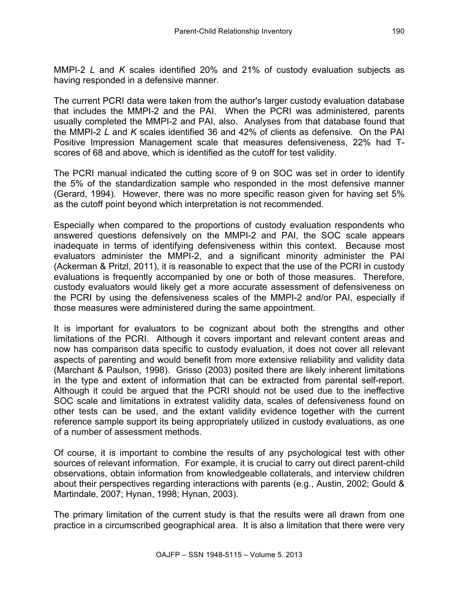MMPI-2 *L* and *K* scales identified 20% and 21% of custody evaluation subjects as having responded in a defensive manner.

The current PCRI data were taken from the author's larger custody evaluation database that includes the MMPI-2 and the PAI. When the PCRI was administered, parents usually completed the MMPI-2 and PAI, also. Analyses from that database found that the MMPI-2 *L* and *K* scales identified 36 and 42% of clients as defensive. On the PAI Positive Impression Management scale that measures defensiveness, 22% had Tscores of 68 and above, which is identified as the cutoff for test validity.

The PCRI manual indicated the cutting score of 9 on SOC was set in order to identify the 5% of the standardization sample who responded in the most defensive manner (Gerard, 1994). However, there was no more specific reason given for having set 5% as the cutoff point beyond which interpretation is not recommended.

Especially when compared to the proportions of custody evaluation respondents who answered questions defensively on the MMPI-2 and PAI, the SOC scale appears inadequate in terms of identifying defensiveness within this context. Because most evaluators administer the MMPI-2, and a significant minority administer the PAI (Ackerman & Pritzl, 2011), it is reasonable to expect that the use of the PCRI in custody evaluations is frequently accompanied by one or both of those measures. Therefore, custody evaluators would likely get a more accurate assessment of defensiveness on the PCRI by using the defensiveness scales of the MMPI-2 and/or PAI, especially if those measures were administered during the same appointment.

It is important for evaluators to be cognizant about both the strengths and other limitations of the PCRI. Although it covers important and relevant content areas and now has comparison data specific to custody evaluation, it does not cover all relevant aspects of parenting and would benefit from more extensive reliability and validity data (Marchant & Paulson, 1998). Grisso (2003) posited there are likely inherent limitations in the type and extent of information that can be extracted from parental self-report. Although it could be argued that the PCRI should not be used due to the ineffective SOC scale and limitations in extratest validity data, scales of defensiveness found on other tests can be used, and the extant validity evidence together with the current reference sample support its being appropriately utilized in custody evaluations, as one of a number of assessment methods.

Of course, it is important to combine the results of any psychological test with other sources of relevant information. For example, it is crucial to carry out direct parent-child observations, obtain information from knowledgeable collaterals, and interview children about their perspectives regarding interactions with parents (e.g., Austin, 2002; Gould & Martindale, 2007; Hynan, 1998; Hynan, 2003).

The primary limitation of the current study is that the results were all drawn from one practice in a circumscribed geographical area. It is also a limitation that there were very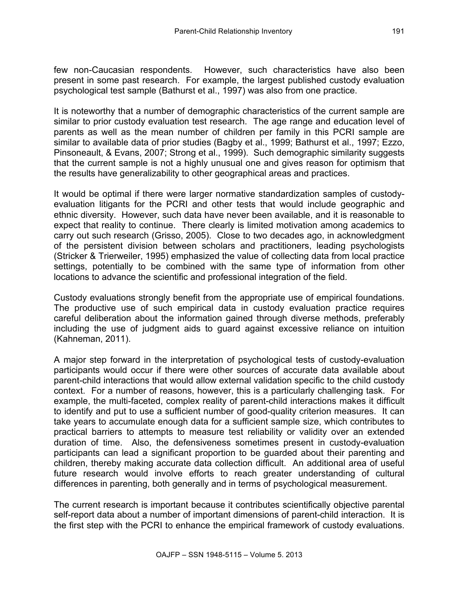few non-Caucasian respondents. However, such characteristics have also been present in some past research. For example, the largest published custody evaluation psychological test sample (Bathurst et al., 1997) was also from one practice.

It is noteworthy that a number of demographic characteristics of the current sample are similar to prior custody evaluation test research. The age range and education level of parents as well as the mean number of children per family in this PCRI sample are similar to available data of prior studies (Bagby et al., 1999; Bathurst et al., 1997; Ezzo, Pinsoneault, & Evans, 2007; Strong et al., 1999). Such demographic similarity suggests that the current sample is not a highly unusual one and gives reason for optimism that the results have generalizability to other geographical areas and practices.

It would be optimal if there were larger normative standardization samples of custodyevaluation litigants for the PCRI and other tests that would include geographic and ethnic diversity. However, such data have never been available, and it is reasonable to expect that reality to continue. There clearly is limited motivation among academics to carry out such research (Grisso, 2005). Close to two decades ago, in acknowledgment of the persistent division between scholars and practitioners, leading psychologists (Stricker & Trierweiler, 1995) emphasized the value of collecting data from local practice settings, potentially to be combined with the same type of information from other locations to advance the scientific and professional integration of the field.

Custody evaluations strongly benefit from the appropriate use of empirical foundations. The productive use of such empirical data in custody evaluation practice requires careful deliberation about the information gained through diverse methods, preferably including the use of judgment aids to guard against excessive reliance on intuition (Kahneman, 2011).

A major step forward in the interpretation of psychological tests of custody-evaluation participants would occur if there were other sources of accurate data available about parent-child interactions that would allow external validation specific to the child custody context. For a number of reasons, however, this is a particularly challenging task. For example, the multi-faceted, complex reality of parent-child interactions makes it difficult to identify and put to use a sufficient number of good-quality criterion measures. It can take years to accumulate enough data for a sufficient sample size, which contributes to practical barriers to attempts to measure test reliability or validity over an extended duration of time. Also, the defensiveness sometimes present in custody-evaluation participants can lead a significant proportion to be guarded about their parenting and children, thereby making accurate data collection difficult. An additional area of useful future research would involve efforts to reach greater understanding of cultural differences in parenting, both generally and in terms of psychological measurement.

The current research is important because it contributes scientifically objective parental self-report data about a number of important dimensions of parent-child interaction. It is the first step with the PCRI to enhance the empirical framework of custody evaluations.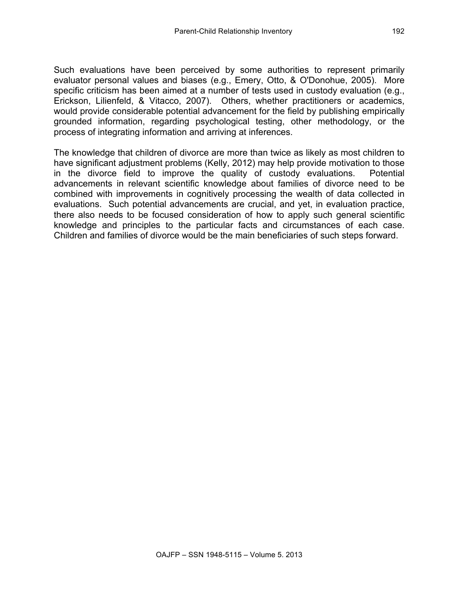Such evaluations have been perceived by some authorities to represent primarily evaluator personal values and biases (e.g., Emery, Otto, & O'Donohue, 2005). More specific criticism has been aimed at a number of tests used in custody evaluation (e.g., Erickson, Lilienfeld, & Vitacco, 2007). Others, whether practitioners or academics, would provide considerable potential advancement for the field by publishing empirically grounded information, regarding psychological testing, other methodology, or the process of integrating information and arriving at inferences.

The knowledge that children of divorce are more than twice as likely as most children to have significant adjustment problems (Kelly, 2012) may help provide motivation to those in the divorce field to improve the quality of custody evaluations. Potential advancements in relevant scientific knowledge about families of divorce need to be combined with improvements in cognitively processing the wealth of data collected in evaluations. Such potential advancements are crucial, and yet, in evaluation practice, there also needs to be focused consideration of how to apply such general scientific knowledge and principles to the particular facts and circumstances of each case. Children and families of divorce would be the main beneficiaries of such steps forward.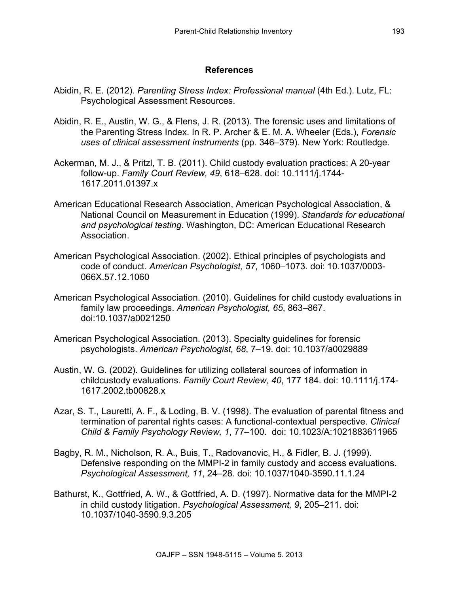#### **References**

- Abidin, R. E. (2012). *Parenting Stress Index: Professional manual* (4th Ed.). Lutz, FL: Psychological Assessment Resources.
- Abidin, R. E., Austin, W. G., & Flens, J. R. (2013). The forensic uses and limitations of the Parenting Stress Index. In R. P. Archer & E. M. A. Wheeler (Eds.), *Forensic uses of clinical assessment instruments* (pp. 346–379). New York: Routledge.
- Ackerman, M. J., & Pritzl, T. B. (2011). Child custody evaluation practices: A 20-year follow-up. *Family Court Review, 49*, 618–628. doi: 10.1111/j.1744- 1617.2011.01397.x
- American Educational Research Association, American Psychological Association, & National Council on Measurement in Education (1999). *Standards for educational and psychological testing*. Washington, DC: American Educational Research Association.
- American Psychological Association. (2002). Ethical principles of psychologists and code of conduct. *American Psychologist, 57*, 1060–1073. doi: 10.1037/0003- 066X.57.12.1060
- American Psychological Association. (2010). Guidelines for child custody evaluations in family law proceedings. *American Psychologist, 65*, 863–867. doi:10.1037/a0021250
- American Psychological Association. (2013). Specialty guidelines for forensic psychologists. *American Psychologist, 68*, 7–19. doi: 10.1037/a0029889
- Austin, W. G. (2002). Guidelines for utilizing collateral sources of information in childcustody evaluations. *Family Court Review, 40*, 177 184. doi: 10.1111/j.174- 1617.2002.tb00828.x
- Azar, S. T., Lauretti, A. F., & Loding, B. V. (1998). The evaluation of parental fitness and termination of parental rights cases: A functional-contextual perspective. *Clinical Child & Family Psychology Review, 1*, 77–100. doi: 10.1023/A:1021883611965
- Bagby, R. M., Nicholson, R. A., Buis, T., Radovanovic, H., & Fidler, B. J. (1999). Defensive responding on the MMPI-2 in family custody and access evaluations. *Psychological Assessment, 11*, 24–28. doi: 10.1037/1040-3590.11.1.24
- Bathurst, K., Gottfried, A. W., & Gottfried, A. D. (1997). Normative data for the MMPI-2 in child custody litigation. *Psychological Assessment, 9*, 205–211. doi: 10.1037/1040-3590.9.3.205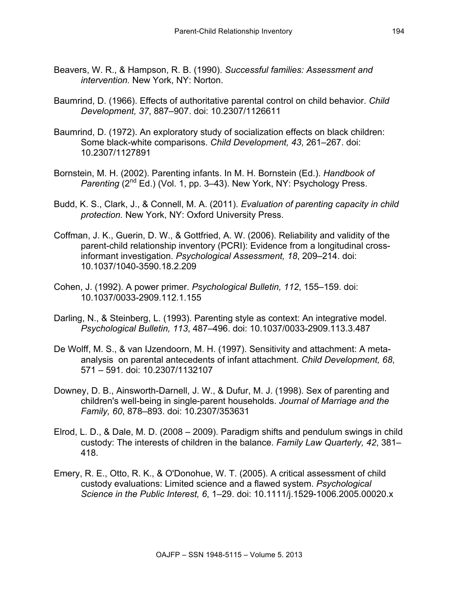- Beavers, W. R., & Hampson, R. B. (1990). *Successful families: Assessment and intervention.* New York, NY: Norton.
- Baumrind, D. (1966). Effects of authoritative parental control on child behavior. *Child Development, 37*, 887–907. doi: 10.2307/1126611
- Baumrind, D. (1972). An exploratory study of socialization effects on black children: Some black-white comparisons. *Child Development, 43*, 261–267. doi: 10.2307/1127891
- Bornstein, M. H. (2002). Parenting infants. In M. H. Bornstein (Ed.). *Handbook of Parenting (2<sup>nd</sup> Ed.) (Vol. 1, pp. 3–43). New York, NY: Psychology Press.*
- Budd, K. S., Clark, J., & Connell, M. A. (2011). *Evaluation of parenting capacity in child protection.* New York, NY: Oxford University Press.
- Coffman, J. K., Guerin, D. W., & Gottfried, A. W. (2006). Reliability and validity of the parent-child relationship inventory (PCRI): Evidence from a longitudinal crossinformant investigation. *Psychological Assessment, 18*, 209–214. doi: 10.1037/1040-3590.18.2.209
- Cohen, J. (1992). A power primer. *Psychological Bulletin, 112*, 155–159. doi: 10.1037/0033-2909.112.1.155
- Darling, N., & Steinberg, L. (1993). Parenting style as context: An integrative model. *Psychological Bulletin, 113*, 487–496. doi: 10.1037/0033-2909.113.3.487
- De Wolff, M. S., & van IJzendoorn, M. H. (1997). Sensitivity and attachment: A metaanalysis on parental antecedents of infant attachment. *Child Development, 68*, 571 – 591. doi: 10.2307/1132107
- Downey, D. B., Ainsworth-Darnell, J. W., & Dufur, M. J. (1998). Sex of parenting and children's well-being in single-parent households. *Journal of Marriage and the Family, 60*, 878–893. doi: 10.2307/353631
- Elrod, L. D., & Dale, M. D. (2008 2009). Paradigm shifts and pendulum swings in child custody: The interests of children in the balance. *Family Law Quarterly, 42*, 381– 418.
- Emery, R. E., Otto, R. K., & O'Donohue, W. T. (2005). A critical assessment of child custody evaluations: Limited science and a flawed system. *Psychological Science in the Public Interest, 6*, 1–29. doi: 10.1111/j.1529-1006.2005.00020.x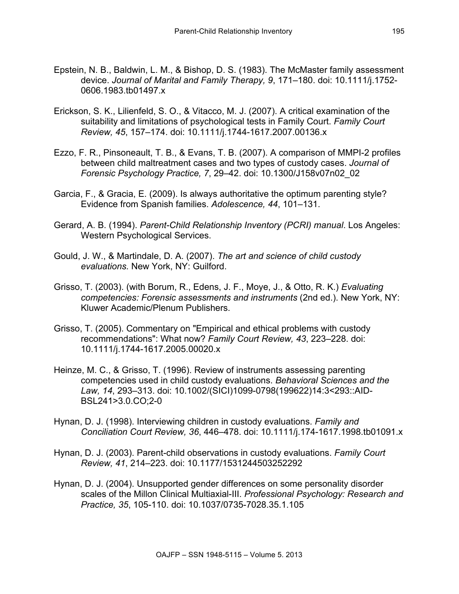- Epstein, N. B., Baldwin, L. M., & Bishop, D. S. (1983). The McMaster family assessment device. *Journal of Marital and Family Therapy, 9*, 171–180. doi: 10.1111/j.1752- 0606.1983.tb01497.x
- Erickson, S. K., Lilienfeld, S. O., & Vitacco, M. J. (2007). A critical examination of the suitability and limitations of psychological tests in Family Court. *Family Court Review, 45*, 157–174. doi: 10.1111/j.1744-1617.2007.00136.x
- Ezzo, F. R., Pinsoneault, T. B., & Evans, T. B. (2007). A comparison of MMPI-2 profiles between child maltreatment cases and two types of custody cases. *Journal of Forensic Psychology Practice, 7*, 29–42. doi: 10.1300/J158v07n02\_02
- Garcia, F., & Gracia, E. (2009). Is always authoritative the optimum parenting style? Evidence from Spanish families. *Adolescence, 44*, 101–131.
- Gerard, A. B. (1994). *Parent-Child Relationship Inventory (PCRI) manual*. Los Angeles: Western Psychological Services.
- Gould, J. W., & Martindale, D. A. (2007). *The art and science of child custody evaluations.* New York, NY: Guilford.
- Grisso, T. (2003). (with Borum, R., Edens, J. F., Moye, J., & Otto, R. K.) *Evaluating competencies: Forensic assessments and instruments* (2nd ed.). New York, NY: Kluwer Academic/Plenum Publishers.
- Grisso, T. (2005). Commentary on "Empirical and ethical problems with custody recommendations": What now? *Family Court Review, 43*, 223–228. doi: 10.1111/j.1744-1617.2005.00020.x
- Heinze, M. C., & Grisso, T. (1996). Review of instruments assessing parenting competencies used in child custody evaluations. *Behavioral Sciences and the Law, 14*, 293–313. doi: 10.1002/(SICI)1099-0798(199622)14:3<293::AID-BSL241>3.0.CO;2-0
- Hynan, D. J. (1998). Interviewing children in custody evaluations. *Family and Conciliation Court Review, 36*, 446–478. doi: 10.1111/j.174-1617.1998.tb01091.x
- Hynan, D. J. (2003). Parent-child observations in custody evaluations. *Family Court Review, 41*, 214–223. doi: 10.1177/1531244503252292
- Hynan, D. J. (2004). Unsupported gender differences on some personality disorder scales of the Millon Clinical Multiaxial-III. *Professional Psychology: Research and Practice, 35*, 105-110. doi: 10.1037/0735-7028.35.1.105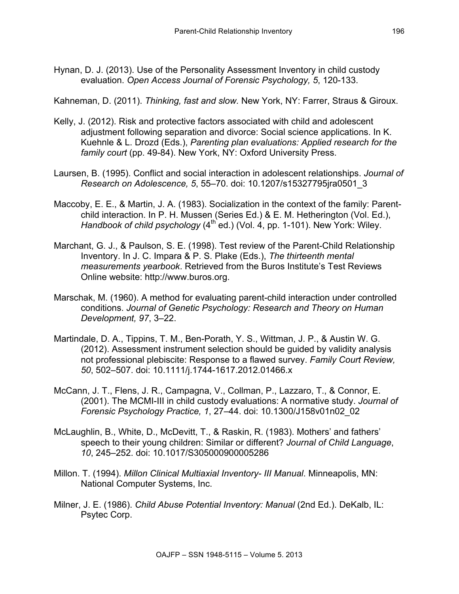Hynan, D. J. (2013). Use of the Personality Assessment Inventory in child custody evaluation. *Open Access Journal of Forensic Psychology, 5*, 120-133.

Kahneman, D. (2011). *Thinking, fast and slow.* New York, NY: Farrer, Straus & Giroux.

- Kelly, J. (2012). Risk and protective factors associated with child and adolescent adjustment following separation and divorce: Social science applications. In K. Kuehnle & L. Drozd (Eds.), *Parenting plan evaluations: Applied research for the family court* (pp. 49-84). New York, NY: Oxford University Press.
- Laursen, B. (1995). Conflict and social interaction in adolescent relationships. *Journal of Research on Adolescence, 5*, 55–70. doi: 10.1207/s15327795jra0501\_3
- Maccoby, E. E., & Martin, J. A. (1983). Socialization in the context of the family: Parentchild interaction. In P. H. Mussen (Series Ed.) & E. M. Hetherington (Vol. Ed.), *Handbook of child psychology* (4<sup>th ed.)</sup> (Vol. 4, pp. 1-101). New York: Wiley.
- Marchant, G. J., & Paulson, S. E. (1998). Test review of the Parent-Child Relationship Inventory. In J. C. Impara & P. S. Plake (Eds.), *The thirteenth mental measurements yearbook*. Retrieved from the Buros Institute's Test Reviews Online website: http://www.buros.org.
- Marschak, M. (1960). A method for evaluating parent-child interaction under controlled conditions. *Journal of Genetic Psychology: Research and Theory on Human Development, 97*, 3–22.
- Martindale, D. A., Tippins, T. M., Ben-Porath, Y. S., Wittman, J. P., & Austin W. G. (2012). Assessment instrument selection should be guided by validity analysis not professional plebiscite: Response to a flawed survey. *Family Court Review, 50*, 502–507. doi: 10.1111/j.1744-1617.2012.01466.x
- McCann, J. T., Flens, J. R., Campagna, V., Collman, P., Lazzaro, T., & Connor, E. (2001). The MCMI-III in child custody evaluations: A normative study. *Journal of Forensic Psychology Practice, 1*, 27–44. doi: 10.1300/J158v01n02\_02
- McLaughlin, B., White, D., McDevitt, T., & Raskin, R. (1983). Mothers' and fathers' speech to their young children: Similar or different? *Journal of Child Language*, *10*, 245–252. doi: 10.1017/S305000900005286
- Millon. T. (1994). *Millon Clinical Multiaxial Inventory- III Manual*. Minneapolis, MN: National Computer Systems, Inc.
- Milner, J. E. (1986). *Child Abuse Potential Inventory: Manual* (2nd Ed.). DeKalb, IL: Psytec Corp.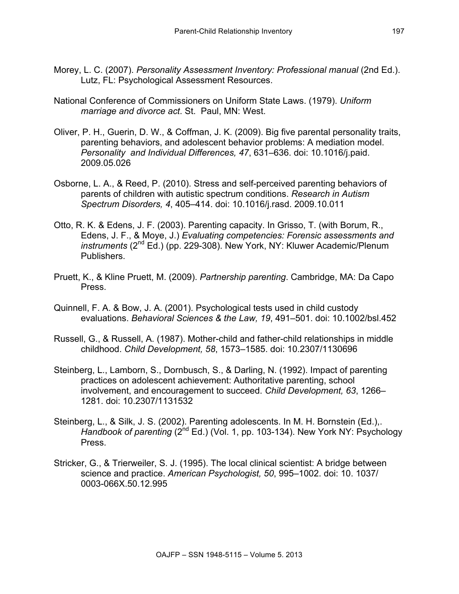- Morey, L. C. (2007). *Personality Assessment Inventory: Professional manual* (2nd Ed.). Lutz, FL: Psychological Assessment Resources.
- National Conference of Commissioners on Uniform State Laws. (1979). *Uniform marriage and divorce act*. St. Paul, MN: West.
- Oliver, P. H., Guerin, D. W., & Coffman, J. K. (2009). Big five parental personality traits, parenting behaviors, and adolescent behavior problems: A mediation model. *Personality and Individual Differences, 47*, 631–636. doi: 10.1016/j.paid. 2009.05.026
- Osborne, L. A., & Reed, P. (2010). Stress and self-perceived parenting behaviors of parents of children with autistic spectrum conditions. *Research in Autism Spectrum Disorders, 4*, 405–414. doi: 10.1016/j.rasd. 2009.10.011
- Otto, R. K. & Edens, J. F. (2003). Parenting capacity. In Grisso, T. (with Borum, R., Edens, J. F., & Moye, J.) *Evaluating competencies: Forensic assessments and instruments* (2nd Ed.) (pp. 229-308). New York, NY: Kluwer Academic/Plenum Publishers.
- Pruett, K., & Kline Pruett, M. (2009). *Partnership parenting*. Cambridge, MA: Da Capo Press.
- Quinnell, F. A. & Bow, J. A. (2001). Psychological tests used in child custody evaluations. *Behavioral Sciences & the Law, 19*, 491–501. doi: 10.1002/bsl.452
- Russell, G., & Russell, A. (1987). Mother-child and father-child relationships in middle childhood. *Child Development, 58*, 1573–1585. doi: 10.2307/1130696
- Steinberg, L., Lamborn, S., Dornbusch, S., & Darling, N. (1992). Impact of parenting practices on adolescent achievement: Authoritative parenting, school involvement, and encouragement to succeed. *Child Development, 63*, 1266– 1281. doi: 10.2307/1131532
- Steinberg, L., & Silk, J. S. (2002). Parenting adolescents. In M. H. Bornstein (Ed.),. *Handbook of parenting* (2<sup>nd</sup> Ed.) (Vol. 1, pp. 103-134). New York NY: Psychology Press.
- Stricker, G., & Trierweiler, S. J. (1995). The local clinical scientist: A bridge between science and practice. *American Psychologist, 50*, 995–1002. doi: 10. 1037/ 0003-066X.50.12.995